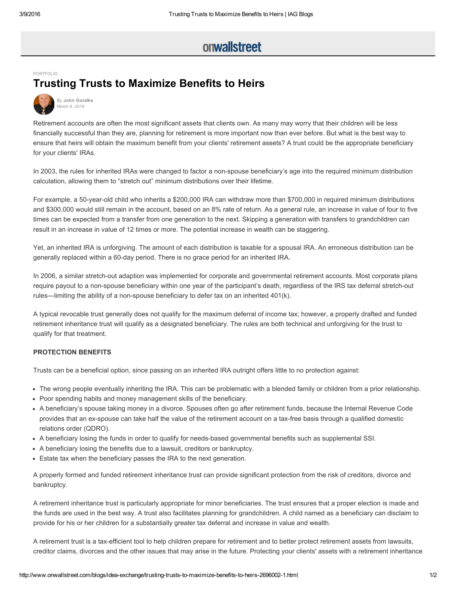## onwallstreet

## [PORTFOLIO](http://www.onwallstreet.com/portfolio/)

## Trusting Trusts to Maximize Benefits to Heirs



Retirement accounts are often the most significant assets that clients own. As many may worry that their children will be less financially successful than they are, planning for retirement is more important now than ever before. But what is the best way to ensure that heirs will obtain the maximum benefit from your clients' retirement assets? A trust could be the appropriate beneficiary for your clients' IRAs.

In 2003, the rules for inherited IRAs were changed to factor a non-spouse beneficiary's age into the required minimum distribution calculation, allowing them to "stretch out" minimum distributions over their lifetime.

For example, a 50-year-old child who inherits a \$200,000 IRA can withdraw more than \$700,000 in required minimum distributions and \$300,000 would still remain in the account, based on an 8% rate of return. As a general rule, an increase in value of four to five times can be expected from a transfer from one generation to the next. Skipping a generation with transfers to grandchildren can result in an increase in value of 12 times or more. The potential increase in wealth can be staggering.

Yet, an inherited IRA is unforgiving. The amount of each distribution is taxable for a spousal IRA. An erroneous distribution can be generally replaced within a 60-day period. There is no grace period for an inherited IRA.

In 2006, a similar stretch-out adaption was implemented for corporate and governmental retirement accounts. Most corporate plans require payout to a non-spouse beneficiary within one year of the participant's death, regardless of the IRS tax deferral stretch-out rules—limiting the ability of a non-spouse beneficiary to defer tax on an inherited 401(k).

A typical revocable trust generally does not qualify for the maximum deferral of income tax; however, a properly drafted and funded retirement inheritance trust will qualify as a designated beneficiary. The rules are both technical and unforgiving for the trust to qualify for that treatment.

## PROTECTION BENEFITS

Trusts can be a beneficial option, since passing on an inherited IRA outright offers little to no protection against:

- The wrong people eventually inheriting the IRA. This can be problematic with a blended family or children from a prior relationship.
- Poor spending habits and money management skills of the beneficiary.
- A beneficiary's spouse taking money in a divorce. Spouses often go after retirement funds, because the Internal Revenue Code provides that an ex-spouse can take half the value of the retirement account on a tax-free basis through a qualified domestic relations order (QDRO).
- A beneficiary losing the funds in order to qualify for needs-based governmental benefits such as supplemental SSI.
- A beneficiary losing the benefits due to a lawsuit, creditors or bankruptcy.
- Estate tax when the beneficiary passes the IRA to the next generation.

A properly formed and funded retirement inheritance trust can provide significant protection from the risk of creditors, divorce and bankruptcy.

A retirement inheritance trust is particularly appropriate for minor beneficiaries. The trust ensures that a proper election is made and the funds are used in the best way. A trust also facilitates planning for grandchildren. A child named as a beneficiary can disclaim to provide for his or her children for a substantially greater tax deferral and increase in value and wealth.

A retirement trust is a taxefficient tool to help children prepare for retirement and to better protect retirement assets from lawsuits, creditor claims, divorces and the other issues that may arise in the future. Protecting your clients' assets with a retirement inheritance